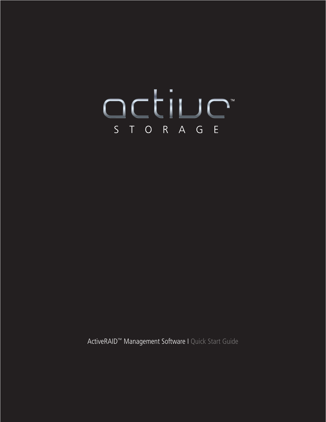# OCLILLE

ActiveRAID™ Management Software I Quick Start Guide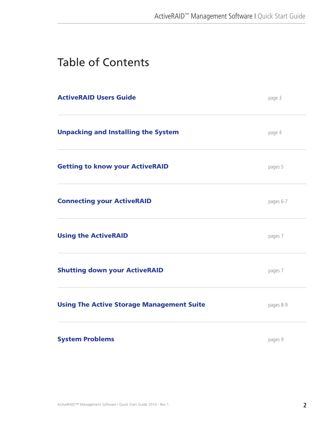# Table of Contents

| <b>ActiveRAID Users Guide</b>                    | page 3    |
|--------------------------------------------------|-----------|
| <b>Unpacking and Installing the System</b>       | page 4    |
| <b>Getting to know your ActiveRAID</b>           | pages 5   |
| <b>Connecting your ActiveRAID</b>                | pages 6-7 |
| <b>Using the ActiveRAID</b>                      | pages 7   |
| <b>Shutting down your ActiveRAID</b>             | pages 7   |
| <b>Using The Active Storage Management Suite</b> | pages 8-9 |
| <b>System Problems</b>                           | pages 9   |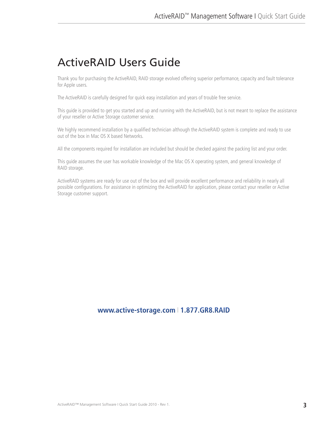# ActiveRAID Users Guide

Thank you for purchasing the ActiveRAID, RAID storage evolved offering superior performance, capacity and fault tolerance for Apple users.

The ActiveRAID is carefully designed for quick easy installation and years of trouble free service.

This guide is provided to get you started and up and running with the ActiveRAID, but is not meant to replace the assistance of your reseller or Active Storage customer service.

We highly recommend installation by a qualified technician although the ActiveRAID system is complete and ready to use out of the box in Mac OS X based Networks.

All the components required for installation are included but should be checked against the packing list and your order.

This guide assumes the user has workable knowledge of the Mac OS X operating system, and general knowledge of RAID storage.

ActiveRAID systems are ready for use out of the box and will provide excellent performance and reliability in nearly all possible configurations. For assistance in optimizing the ActiveRAID for application, please contact your reseller or Active Storage customer support.

## **www.active-storage.com** I **1.877.GR8.RAID**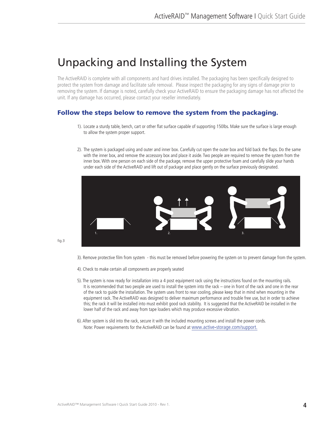# Unpacking and Installing the System

The ActiveRAID is complete with all components and hard drives installed. The packaging has been specifically designed to protect the system from damage and facilitate safe removal. Please inspect the packaging for any signs of damage prior to removing the system. If damage is noted, carefully check your ActiveRAID to ensure the packaging damage has not affected the unit. If any damage has occurred, please contact your reseller immediately.

## Follow the steps below to remove the system from the packaging.

- 1). Locate a sturdy table, bench, cart or other flat surface capable of supporting 150lbs. Make sure the surface is large enough to allow the system proper support.
- 2). The system is packaged using and outer and inner box. Carefully cut open the outer box and fold back the flaps. Do the same with the inner box, and remove the accessory box and place it aside. Two people are required to remove the system from the inner box. With one person on each side of the package, remove the upper protective foam and carefully slide your hands under each side of the ActiveRAID and lift out of package and place gently on the surface previously designated.



fig.3

- 3). Remove protective film from system this must be removed before powering the system on to prevent damage from the system.
- 4). Check to make certain all components are properly seated
- 5). The system is now ready for installation into a 4 post equipment rack using the instructions found on the mounting rails. It is recommended that two people are used to install the system into the rack – one in front of the rack and one in the rear of the rack to guide the installation. The system uses front to rear cooling, please keep that in mind when mounting in the equipment rack. The ActiveRAID was designed to deliver maximum performance and trouble free use, but in order to achieve this; the rack it will be installed into must exhibit good rack stability. It is suggested that the ActiveRAID be installed in the lower half of the rack and away from tape loaders which may produce excessive vibration.
- 6). After system is slid into the rack, secure it with the included mounting screws and install the power cords. Note: Power requirements for the ActiveRAID can be found at www.active-storage.com/support.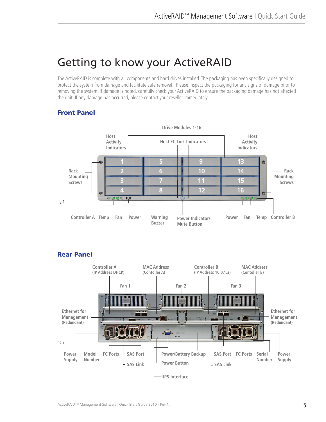# Getting to know your ActiveRAID

The ActiveRAID is complete with all components and hard drives installed. The packaging has been specifically designed to protect the system from damage and facilitate safe removal. Please inspect the packaging for any signs of damage prior to removing the system. If damage is noted, carefully check your ActiveRAID to ensure the packaging damage has not affected the unit. If any damage has occurred, please contact your reseller immediately.

## Front Panel





## Rear Panel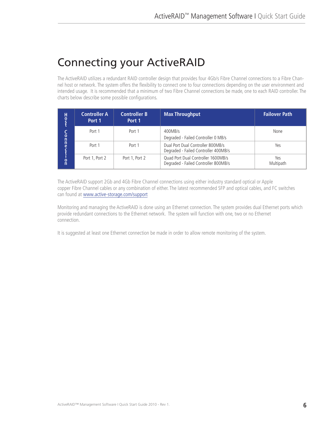# Connecting your ActiveRAID

The ActiveRAID utilizes a redundant RAID controller design that provides four 4Gb/s Fibre Channel connections to a Fibre Channel host or network. The system offers the flexibility to connect one to four connections depending on the user environment and intended usage. It is recommended that a minimum of two Fibre Channel connections be made, one to each RAID controller. The charts below describe some possible configurations.

| н<br>$\frac{0}{c}$                     | <b>Controller A</b><br>Port 1 | <b>Controller B</b><br>Port 1 | <b>Max Throughput</b>                                                      | <b>Failover Path</b> |
|----------------------------------------|-------------------------------|-------------------------------|----------------------------------------------------------------------------|----------------------|
| C<br>0<br>n<br>$n$ ec<br>$\frac{0}{n}$ | Port 1                        | Port 1                        | 400MB/s<br>Degraded - Failed Controller 0 MB/s                             | None                 |
|                                        | Port 1                        | Port 1                        | Dual Port Dual Controller 800MB/s<br>Degraded - Failed Controller 400MB/s  | Yes                  |
|                                        | Port 1, Port 2                | Port 1, Port 2                | Quad Port Dual Controller 1600MB/s<br>Degraded - Failed Controller 800MB/s | Yes<br>Multipath     |

The ActiveRAID support 2Gb and 4Gb Fibre Channel connections using either industry standard optical or Apple copper Fibre Channel cables or any combination of either. The latest recommended SFP and optical cables, and FC switches can found at www.active-storage.com/support

Monitoring and managing the ActiveRAID is done using an Ethernet connection. The system provides dual Ethernet ports which provide redundant connections to the Ethernet network. The system will function with one, two or no Ethernet connection.

It is suggested at least one Ethernet connection be made in order to allow remote monitoring of the system.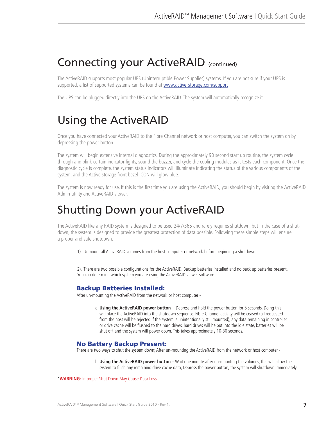## Connecting your ActiveRAID (continued)

The ActiveRAID supports most popular UPS (Uninterruptible Power Supplies) systems. If you are not sure if your UPS is supported, a list of supported systems can be found at www.active-storage.com/support

The UPS can be plugged directly into the UPS on the ActiveRAID. The system will automatically recognize it.

# Using the ActiveRAID

Once you have connected your ActiveRAID to the Fibre Channel network or host computer, you can switch the system on by depressing the power button.

The system will begin extensive internal diagnostics. During the approximately 90 second start up routine, the system cycle through and blink certain indicator lights, sound the buzzer, and cycle the cooling modules as it tests each component. Once the diagnostic cycle is complete, the system status indicators will illuminate indicating the status of the various components of the system, and the Active storage front bezel ICON will glow blue.

The system is now ready for use. If this is the first time you are using the ActiveRAID, you should begin by visiting the ActiveRAID Admin utility and ActiveRAID viewer.

## Shutting Down your ActiveRAID

The ActiveRAID like any RAID system is designed to be used 24/7/365 and rarely requires shutdown, but in the case of a shutdown, the system is designed to provide the greatest protection of data possible. Following these simple steps will ensure a proper and safe shutdown.

1). Unmount all ActiveRAID volumes from the host computer or network before beginning a shutdown

2). There are two possible configurations for the ActiveRAID. Backup batteries installed and no back up batteries present. You can determine which system you are using the ActiveRAID viewer software.

#### Backup Batteries Installed:

After un-mounting the ActiveRAID from the network or host computer -

a. **Using the ActiveRAID power button** - Depress and hold the power button for 5 seconds. Doing this will place the ActiveRAID into the shutdown sequence. Fibre Channel activity will be ceased (all requested from the host will be rejected if the system is unintentionally still mounted), any data remaining in controller or drive cache will be flushed to the hard drives, hard drives will be put into the idle state, batteries will be shut off, and the system will power down. This takes approximately 10-30 seconds.

#### No Battery Backup Present:

There are two ways to shut the system down; After un-mounting the ActiveRAID from the network or host computer -

b. **Using the ActiveRAID power button** – Wait one minute after un-mounting the volumes, this will allow the system to flush any remaining drive cache data, Depress the power button, the system will shutdown immediately.

\***WARNING:** Improper Shut Down May Cause Data Loss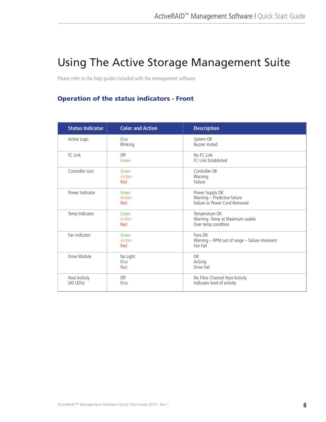# Using The Active Storage Management Suite

Please refer to the help guides included with the management software

## Operation of the status indicators - Front

| <b>Status Indicator</b>             | <b>Color and Action</b> | <b>Description</b>                                                               |
|-------------------------------------|-------------------------|----------------------------------------------------------------------------------|
| Active Logo                         | <b>Blue</b><br>Blinking | System OK<br><b>Buzzer muted</b>                                                 |
| FC Link                             | Off<br>Green            | No FC Link<br>FC Link Established                                                |
| Controller Icon                     | Green<br>Amber<br>Red   | Controller OK<br>Warning<br>Failure                                              |
| Power Indicator                     | Green<br>Amber<br>Red   | Power Supply OK<br>Warning - Predictive failure<br>Failure or Power Cord Removed |
| Temp Indicator                      | Green<br>Amber<br>Red   | Temperature OK<br>Warning - Temp at Maximum usable<br>Over temp condition        |
| Fan Indicator                       | Green<br>Amber<br>Red   | Fans OK<br>Warning - RPM out of range - failure imminent<br>Fan Fail             |
| Drive Module                        | No Light<br>Blue<br>Red | OK<br>Activity<br>Drive Fail                                                     |
| <b>Host Activity</b><br>$(40$ LEDs) | Off<br>Blue             | No Fibre Channel Host Activity<br>Indicates level of activity                    |